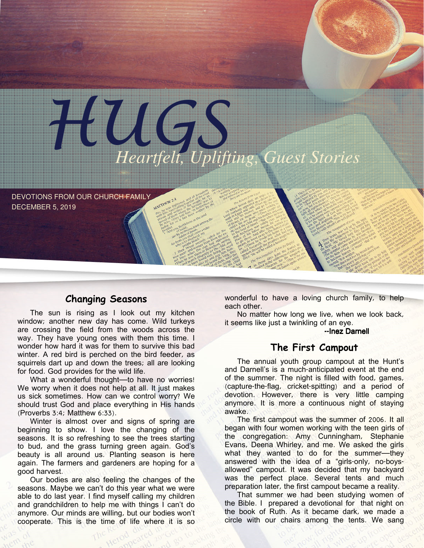

DEVOTIONS FROM OUR CHURCH FAMILY DECEMBER 5, 2019

## Changing Seasons

The sun is rising as I look out my kitchen window; another new day has come. Wild turkeys are crossing the field from the woods across the way. They have young ones with them this time. I wonder how hard it was for them to survive this bad winter. A red bird is perched on the bird feeder, as squirrels dart up and down the trees; all are looking for food. God provides for the wild life.

What a wonderful thought—to have no worries! We worry when it does not help at all. It just makes us sick sometimes. How can we control worry? We should trust God and place everything in His hands (Proverbs 3:4; Matthew 6:33).

Winter is almost over and signs of spring are beginning to show. I love the changing of the seasons. It is so refreshing to see the trees starting to bud, and the grass turning green again. God's beauty is all around us. Planting season is here again. The farmers and gardeners are hoping for a good harvest.

Our bodies are also feeling the changes of the seasons. Maybe we can't do this year what we were able to do last year. I find myself calling my children and grandchildren to help me with things I can't do anymore. Our minds are willing, but our bodies won't cooperate. This is the time of life where it is so

wonderful to have a loving church family, to help each other.

No matter how long we live, when we look back, it seems like just a twinkling of an eye.

#### --Inez Darnell

### The First Campout

The annual youth group campout at the Hunt's and Darnell's is a much-anticipated event at the end of the summer. The night is filled with food, games, (capture-the-flag, cricket-spitting) and a period of devotion. However, there is very little camping anymore. It is more a continuous night of staying awake.

The first campout was the summer of 2006. It all began with four women working with the teen girls of the congregation: Amy Cunningham, Stephanie Evans, Deena Whirley, and me. We asked the girls what they wanted to do for the summer—they answered with the idea of a "girls-only, no-boysallowed" campout. It was decided that my backyard was the perfect place. Several tents and much preparation later, the first campout became a reality.

That summer we had been studying women of the Bible. I prepared a devotional for that night on the book of Ruth. As it became dark, we made a circle with our chairs among the tents. We sang